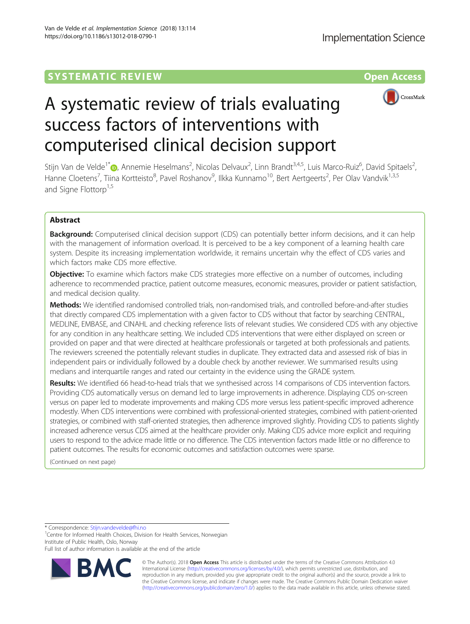# **SYSTEMATIC REVIEW ACCESS OPEN ACCESS**



# A systematic review of trials evaluating success factors of interventions with computerised clinical decision support

Stijn Van de Velde<sup>1\*</sup>®[,](http://orcid.org/0000-0001-8908-3823) Annemie Heselmans<sup>2</sup>, Nicolas Delvaux<sup>2</sup>, Linn Brandt<sup>3,4,5</sup>, Luis Marco-Ruiz<sup>6</sup>, David Spitaels<sup>2</sup> , Hanne Cloetens<sup>7</sup>, Tiina Kortteisto<sup>8</sup>, Pavel Roshanov<sup>9</sup>, Ilkka Kunnamo<sup>10</sup>, Bert Aertgeerts<sup>2</sup>, Per Olav Vandvik<sup>1,3,5</sup> and Signe Flottorp<sup>1,5</sup>

# Abstract

**Background:** Computerised clinical decision support (CDS) can potentially better inform decisions, and it can help with the management of information overload. It is perceived to be a key component of a learning health care system. Despite its increasing implementation worldwide, it remains uncertain why the effect of CDS varies and which factors make CDS more effective.

**Objective:** To examine which factors make CDS strategies more effective on a number of outcomes, including adherence to recommended practice, patient outcome measures, economic measures, provider or patient satisfaction, and medical decision quality.

Methods: We identified randomised controlled trials, non-randomised trials, and controlled before-and-after studies that directly compared CDS implementation with a given factor to CDS without that factor by searching CENTRAL, MEDLINE, EMBASE, and CINAHL and checking reference lists of relevant studies. We considered CDS with any objective for any condition in any healthcare setting. We included CDS interventions that were either displayed on screen or provided on paper and that were directed at healthcare professionals or targeted at both professionals and patients. The reviewers screened the potentially relevant studies in duplicate. They extracted data and assessed risk of bias in independent pairs or individually followed by a double check by another reviewer. We summarised results using medians and interquartile ranges and rated our certainty in the evidence using the GRADE system.

Results: We identified 66 head-to-head trials that we synthesised across 14 comparisons of CDS intervention factors. Providing CDS automatically versus on demand led to large improvements in adherence. Displaying CDS on-screen versus on paper led to moderate improvements and making CDS more versus less patient-specific improved adherence modestly. When CDS interventions were combined with professional-oriented strategies, combined with patient-oriented strategies, or combined with staff-oriented strategies, then adherence improved slightly. Providing CDS to patients slightly increased adherence versus CDS aimed at the healthcare provider only. Making CDS advice more explicit and requiring users to respond to the advice made little or no difference. The CDS intervention factors made little or no difference to patient outcomes. The results for economic outcomes and satisfaction outcomes were sparse.

(Continued on next page)

\* Correspondence: [Stijn.vandevelde@fhi.no](mailto:Stijn.vandevelde@fhi.no) <sup>1</sup>

<sup>1</sup> Centre for Informed Health Choices, Division for Health Services, Norwegian Institute of Public Health, Oslo, Norway

Full list of author information is available at the end of the article



© The Author(s). 2018 Open Access This article is distributed under the terms of the Creative Commons Attribution 4.0 International License [\(http://creativecommons.org/licenses/by/4.0/](http://creativecommons.org/licenses/by/4.0/)), which permits unrestricted use, distribution, and reproduction in any medium, provided you give appropriate credit to the original author(s) and the source, provide a link to the Creative Commons license, and indicate if changes were made. The Creative Commons Public Domain Dedication waiver [\(http://creativecommons.org/publicdomain/zero/1.0/](http://creativecommons.org/publicdomain/zero/1.0/)) applies to the data made available in this article, unless otherwise stated.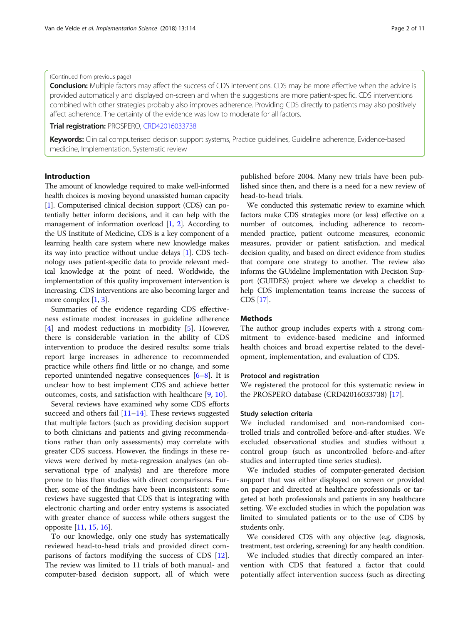#### (Continued from previous page)

**Conclusion:** Multiple factors may affect the success of CDS interventions. CDS may be more effective when the advice is provided automatically and displayed on-screen and when the suggestions are more patient-specific. CDS interventions combined with other strategies probably also improves adherence. Providing CDS directly to patients may also positively affect adherence. The certainty of the evidence was low to moderate for all factors.

Trial registration: PROSPERO, [CRD42016033738](http://www.crd.york.ac.uk/prospero/DisplayPDF.php?ID=CRD42016033738)

Keywords: Clinical computerised decision support systems, Practice quidelines, Guideline adherence, Evidence-based medicine, Implementation, Systematic review

# Introduction

The amount of knowledge required to make well-informed health choices is moving beyond unassisted human capacity [[1](#page-9-0)]. Computerised clinical decision support (CDS) can potentially better inform decisions, and it can help with the management of information overload [[1](#page-9-0), [2\]](#page-9-0). According to the US Institute of Medicine, CDS is a key component of a learning health care system where new knowledge makes its way into practice without undue delays [\[1\]](#page-9-0). CDS technology uses patient-specific data to provide relevant medical knowledge at the point of need. Worldwide, the implementation of this quality improvement intervention is increasing. CDS interventions are also becoming larger and more complex [\[1,](#page-9-0) [3](#page-9-0)].

Summaries of the evidence regarding CDS effectiveness estimate modest increases in guideline adherence [[4\]](#page-9-0) and modest reductions in morbidity [\[5](#page-9-0)]. However, there is considerable variation in the ability of CDS intervention to produce the desired results: some trials report large increases in adherence to recommended practice while others find little or no change, and some reported unintended negative consequences [\[6](#page-9-0)–[8\]](#page-9-0). It is unclear how to best implement CDS and achieve better outcomes, costs, and satisfaction with healthcare [[9](#page-9-0), [10](#page-9-0)].

Several reviews have examined why some CDS efforts succeed and others fail  $[11–14]$  $[11–14]$  $[11–14]$  $[11–14]$  $[11–14]$ . These reviews suggested that multiple factors (such as providing decision support to both clinicians and patients and giving recommendations rather than only assessments) may correlate with greater CDS success. However, the findings in these reviews were derived by meta-regression analyses (an observational type of analysis) and are therefore more prone to bias than studies with direct comparisons. Further, some of the findings have been inconsistent: some reviews have suggested that CDS that is integrating with electronic charting and order entry systems is associated with greater chance of success while others suggest the opposite [\[11](#page-9-0), [15](#page-9-0), [16\]](#page-9-0).

To our knowledge, only one study has systematically reviewed head-to-head trials and provided direct comparisons of factors modifying the success of CDS [\[12](#page-9-0)]. The review was limited to 11 trials of both manual- and computer-based decision support, all of which were

published before 2004. Many new trials have been published since then, and there is a need for a new review of head-to-head trials.

We conducted this systematic review to examine which factors make CDS strategies more (or less) effective on a number of outcomes, including adherence to recommended practice, patient outcome measures, economic measures, provider or patient satisfaction, and medical decision quality, and based on direct evidence from studies that compare one strategy to another. The review also informs the GUideline Implementation with Decision Support (GUIDES) project where we develop a checklist to help CDS implementation teams increase the success of CDS [[17](#page-9-0)].

### **Methods**

The author group includes experts with a strong commitment to evidence-based medicine and informed health choices and broad expertise related to the development, implementation, and evaluation of CDS.

#### Protocol and registration

We registered the protocol for this systematic review in the PROSPERO database (CRD42016033738) [[17](#page-9-0)].

#### Study selection criteria

We included randomised and non-randomised controlled trials and controlled before-and-after studies. We excluded observational studies and studies without a control group (such as uncontrolled before-and-after studies and interrupted time series studies).

We included studies of computer-generated decision support that was either displayed on screen or provided on paper and directed at healthcare professionals or targeted at both professionals and patients in any healthcare setting. We excluded studies in which the population was limited to simulated patients or to the use of CDS by students only.

We considered CDS with any objective (e.g. diagnosis, treatment, test ordering, screening) for any health condition.

We included studies that directly compared an intervention with CDS that featured a factor that could potentially affect intervention success (such as directing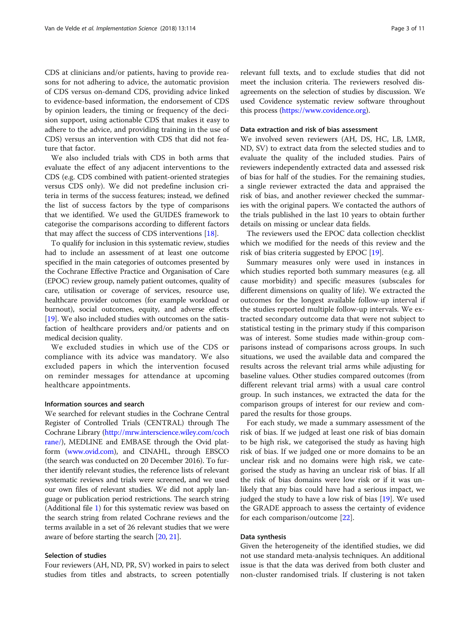CDS at clinicians and/or patients, having to provide reasons for not adhering to advice, the automatic provision of CDS versus on-demand CDS, providing advice linked to evidence-based information, the endorsement of CDS by opinion leaders, the timing or frequency of the decision support, using actionable CDS that makes it easy to adhere to the advice, and providing training in the use of CDS) versus an intervention with CDS that did not feature that factor.

We also included trials with CDS in both arms that evaluate the effect of any adjacent interventions to the CDS (e.g. CDS combined with patient-oriented strategies versus CDS only). We did not predefine inclusion criteria in terms of the success features; instead, we defined the list of success factors by the type of comparisons that we identified. We used the GUIDES framework to categorise the comparisons according to different factors that may affect the success of CDS interventions [\[18\]](#page-9-0).

To qualify for inclusion in this systematic review, studies had to include an assessment of at least one outcome specified in the main categories of outcomes presented by the Cochrane Effective Practice and Organisation of Care (EPOC) review group, namely patient outcomes, quality of care, utilisation or coverage of services, resource use, healthcare provider outcomes (for example workload or burnout), social outcomes, equity, and adverse effects [[19](#page-9-0)]. We also included studies with outcomes on the satisfaction of healthcare providers and/or patients and on medical decision quality.

We excluded studies in which use of the CDS or compliance with its advice was mandatory. We also excluded papers in which the intervention focused on reminder messages for attendance at upcoming healthcare appointments.

# Information sources and search

We searched for relevant studies in the Cochrane Central Register of Controlled Trials (CENTRAL) through The Cochrane Library ([http://mrw.interscience.wiley.com/coch](http://mrw.interscience.wiley.com/cochrane) [rane/\)](http://mrw.interscience.wiley.com/cochrane), MEDLINE and EMBASE through the Ovid platform [\(www.ovid.com](http://www.ovid.com)), and CINAHL, through EBSCO (the search was conducted on 20 December 2016). To further identify relevant studies, the reference lists of relevant systematic reviews and trials were screened, and we used our own files of relevant studies. We did not apply language or publication period restrictions. The search string (Additional file [1](#page-9-0)) for this systematic review was based on the search string from related Cochrane reviews and the terms available in a set of 26 relevant studies that we were aware of before starting the search [\[20,](#page-9-0) [21](#page-9-0)].

# Selection of studies

Four reviewers (AH, ND, PR, SV) worked in pairs to select studies from titles and abstracts, to screen potentially

relevant full texts, and to exclude studies that did not meet the inclusion criteria. The reviewers resolved disagreements on the selection of studies by discussion. We used Covidence systematic review software throughout this process [\(https://www.covidence.org\)](https://www.covidence.org).

# Data extraction and risk of bias assessment

We involved seven reviewers (AH, DS, HC, LB, LMR, ND, SV) to extract data from the selected studies and to evaluate the quality of the included studies. Pairs of reviewers independently extracted data and assessed risk of bias for half of the studies. For the remaining studies, a single reviewer extracted the data and appraised the risk of bias, and another reviewer checked the summaries with the original papers. We contacted the authors of the trials published in the last 10 years to obtain further details on missing or unclear data fields.

The reviewers used the EPOC data collection checklist which we modified for the needs of this review and the risk of bias criteria suggested by EPOC [[19\]](#page-9-0).

Summary measures only were used in instances in which studies reported both summary measures (e.g. all cause morbidity) and specific measures (subscales for different dimensions on quality of life). We extracted the outcomes for the longest available follow-up interval if the studies reported multiple follow-up intervals. We extracted secondary outcome data that were not subject to statistical testing in the primary study if this comparison was of interest. Some studies made within-group comparisons instead of comparisons across groups. In such situations, we used the available data and compared the results across the relevant trial arms while adjusting for baseline values. Other studies compared outcomes (from different relevant trial arms) with a usual care control group. In such instances, we extracted the data for the comparison groups of interest for our review and compared the results for those groups.

For each study, we made a summary assessment of the risk of bias. If we judged at least one risk of bias domain to be high risk, we categorised the study as having high risk of bias. If we judged one or more domains to be an unclear risk and no domains were high risk, we categorised the study as having an unclear risk of bias. If all the risk of bias domains were low risk or if it was unlikely that any bias could have had a serious impact, we judged the study to have a low risk of bias [\[19](#page-9-0)]. We used the GRADE approach to assess the certainty of evidence for each comparison/outcome [[22\]](#page-9-0).

#### Data synthesis

Given the heterogeneity of the identified studies, we did not use standard meta-analysis techniques. An additional issue is that the data was derived from both cluster and non-cluster randomised trials. If clustering is not taken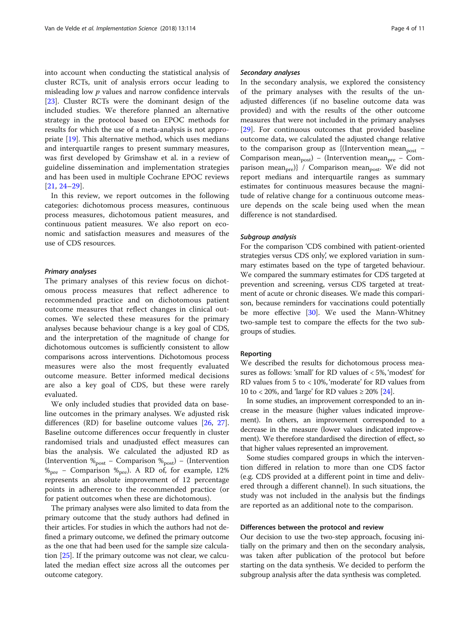into account when conducting the statistical analysis of cluster RCTs, unit of analysis errors occur leading to misleading low p values and narrow confidence intervals [[23\]](#page-9-0). Cluster RCTs were the dominant design of the included studies. We therefore planned an alternative strategy in the protocol based on EPOC methods for results for which the use of a meta-analysis is not appropriate [\[19](#page-9-0)]. This alternative method, which uses medians and interquartile ranges to present summary measures, was first developed by Grimshaw et al. in a review of guideline dissemination and implementation strategies and has been used in multiple Cochrane EPOC reviews [[21,](#page-9-0) [24](#page-10-0)–[29](#page-10-0)].

In this review, we report outcomes in the following categories: dichotomous process measures, continuous process measures, dichotomous patient measures, and continuous patient measures. We also report on economic and satisfaction measures and measures of the use of CDS resources.

#### Primary analyses

The primary analyses of this review focus on dichotomous process measures that reflect adherence to recommended practice and on dichotomous patient outcome measures that reflect changes in clinical outcomes. We selected these measures for the primary analyses because behaviour change is a key goal of CDS, and the interpretation of the magnitude of change for dichotomous outcomes is sufficiently consistent to allow comparisons across interventions. Dichotomous process measures were also the most frequently evaluated outcome measure. Better informed medical decisions are also a key goal of CDS, but these were rarely evaluated.

We only included studies that provided data on baseline outcomes in the primary analyses. We adjusted risk differences (RD) for baseline outcome values [\[26](#page-10-0), [27](#page-10-0)]. Baseline outcome differences occur frequently in cluster randomised trials and unadjusted effect measures can bias the analysis. We calculated the adjusted RD as (Intervention %post − Comparison %post) − (Intervention %pre − Comparison %pre). A RD of, for example, 12% represents an absolute improvement of 12 percentage points in adherence to the recommended practice (or for patient outcomes when these are dichotomous).

The primary analyses were also limited to data from the primary outcome that the study authors had defined in their articles. For studies in which the authors had not defined a primary outcome, we defined the primary outcome as the one that had been used for the sample size calculation [[25](#page-10-0)]. If the primary outcome was not clear, we calculated the median effect size across all the outcomes per outcome category.

# Secondary analyses

In the secondary analysis, we explored the consistency of the primary analyses with the results of the unadjusted differences (if no baseline outcome data was provided) and with the results of the other outcome measures that were not included in the primary analyses [[29\]](#page-10-0). For continuous outcomes that provided baseline outcome data, we calculated the adjusted change relative to the comparison group as {(Intervention mean<sub>post</sub> – Comparison mean<sub>post</sub>) − (Intervention mean<sub>pre</sub> − Comparison mean<sub>pre</sub>)} / Comparison mean<sub>post</sub>. We did not report medians and interquartile ranges as summary estimates for continuous measures because the magnitude of relative change for a continuous outcome measure depends on the scale being used when the mean difference is not standardised.

#### Subgroup analysis

For the comparison 'CDS combined with patient-oriented strategies versus CDS only', we explored variation in summary estimates based on the type of targeted behaviour. We compared the summary estimates for CDS targeted at prevention and screening, versus CDS targeted at treatment of acute or chronic diseases. We made this comparison, because reminders for vaccinations could potentially be more effective [[30](#page-10-0)]. We used the Mann-Whitney two-sample test to compare the effects for the two subgroups of studies.

#### Reporting

We described the results for dichotomous process measures as follows: 'small' for RD values of < 5%, 'modest' for RD values from 5 to < 10%, 'moderate' for RD values from 10 to < 20%, and 'large' for RD values  $\geq 20\%$  [\[24\]](#page-10-0).

In some studies, an improvement corresponded to an increase in the measure (higher values indicated improvement). In others, an improvement corresponded to a decrease in the measure (lower values indicated improvement). We therefore standardised the direction of effect, so that higher values represented an improvement.

Some studies compared groups in which the intervention differed in relation to more than one CDS factor (e.g. CDS provided at a different point in time and delivered through a different channel). In such situations, the study was not included in the analysis but the findings are reported as an additional note to the comparison.

#### Differences between the protocol and review

Our decision to use the two-step approach, focusing initially on the primary and then on the secondary analysis, was taken after publication of the protocol but before starting on the data synthesis. We decided to perform the subgroup analysis after the data synthesis was completed.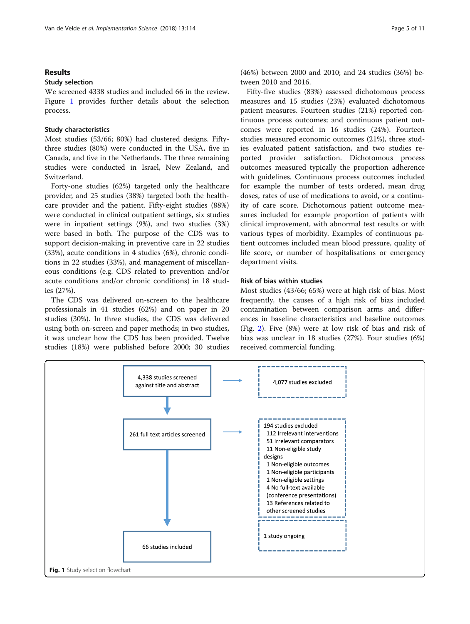# Results

#### Study selection

We screened 4338 studies and included 66 in the review. Figure 1 provides further details about the selection process.

# Study characteristics

Most studies (53/66; 80%) had clustered designs. Fiftythree studies (80%) were conducted in the USA, five in Canada, and five in the Netherlands. The three remaining studies were conducted in Israel, New Zealand, and Switzerland.

Forty-one studies (62%) targeted only the healthcare provider, and 25 studies (38%) targeted both the healthcare provider and the patient. Fifty-eight studies (88%) were conducted in clinical outpatient settings, six studies were in inpatient settings (9%), and two studies (3%) were based in both. The purpose of the CDS was to support decision-making in preventive care in 22 studies (33%), acute conditions in 4 studies (6%), chronic conditions in 22 studies (33%), and management of miscellaneous conditions (e.g. CDS related to prevention and/or acute conditions and/or chronic conditions) in 18 studies (27%).

The CDS was delivered on-screen to the healthcare professionals in 41 studies (62%) and on paper in 20 studies (30%). In three studies, the CDS was delivered using both on-screen and paper methods; in two studies, it was unclear how the CDS has been provided. Twelve studies (18%) were published before 2000; 30 studies

(46%) between 2000 and 2010; and 24 studies (36%) between 2010 and 2016.

Fifty-five studies (83%) assessed dichotomous process measures and 15 studies (23%) evaluated dichotomous patient measures. Fourteen studies (21%) reported continuous process outcomes; and continuous patient outcomes were reported in 16 studies (24%). Fourteen studies measured economic outcomes (21%), three studies evaluated patient satisfaction, and two studies reported provider satisfaction. Dichotomous process outcomes measured typically the proportion adherence with guidelines. Continuous process outcomes included for example the number of tests ordered, mean drug doses, rates of use of medications to avoid, or a continuity of care score. Dichotomous patient outcome measures included for example proportion of patients with clinical improvement, with abnormal test results or with various types of morbidity. Examples of continuous patient outcomes included mean blood pressure, quality of life score, or number of hospitalisations or emergency department visits.

#### Risk of bias within studies

Most studies (43/66; 65%) were at high risk of bias. Most frequently, the causes of a high risk of bias included contamination between comparison arms and differences in baseline characteristics and baseline outcomes (Fig. [2\)](#page-5-0). Five (8%) were at low risk of bias and risk of bias was unclear in 18 studies (27%). Four studies (6%) received commercial funding.

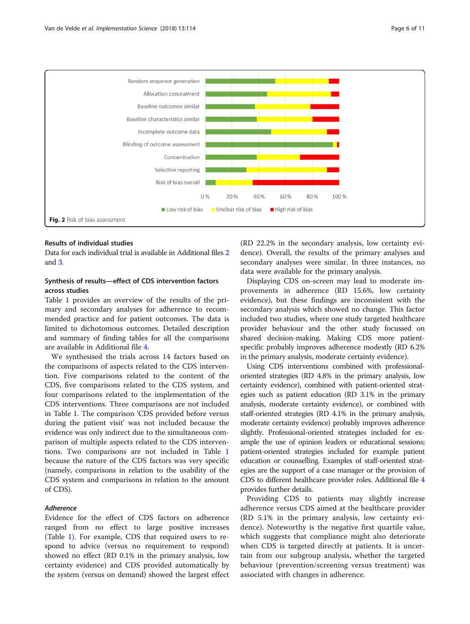<span id="page-5-0"></span>

#### Results of individual studies

Data for each individual trial is available in Additional files [2](#page-9-0) and [3.](#page-9-0)

# Synthesis of results—effect of CDS intervention factors across studies

Table [1](#page-6-0) provides an overview of the results of the primary and secondary analyses for adherence to recommended practice and for patient outcomes. The data is limited to dichotomous outcomes. Detailed description and summary of finding tables for all the comparisons are available in Additional file [4](#page-9-0).

We synthesised the trials across 14 factors based on the comparisons of aspects related to the CDS intervention. Five comparisons related to the content of the CDS, five comparisons related to the CDS system, and four comparisons related to the implementation of the CDS interventions. Three comparisons are not included in Table [1.](#page-6-0) The comparison 'CDS provided before versus during the patient visit' was not included because the evidence was only indirect due to the simultaneous comparison of multiple aspects related to the CDS interventions. Two comparisons are not included in Table [1](#page-6-0) because the nature of the CDS factors was very specific (namely, comparisons in relation to the usability of the CDS system and comparisons in relation to the amount of CDS).

# Adherence

Evidence for the effect of CDS factors on adherence ranged from no effect to large positive increases (Table [1](#page-6-0)). For example, CDS that required users to respond to advice (versus no requirement to respond) showed no effect (RD 0.1% in the primary analysis, low certainty evidence) and CDS provided automatically by the system (versus on demand) showed the largest effect (RD 22.2% in the secondary analysis, low certainty evidence). Overall, the results of the primary analyses and secondary analyses were similar. In three instances, no data were available for the primary analysis.

Displaying CDS on-screen may lead to moderate improvements in adherence (RD 15.6%, low certainty evidence), but these findings are inconsistent with the secondary analysis which showed no change. This factor included two studies, where one study targeted healthcare provider behaviour and the other study focussed on shared decision-making. Making CDS more patientspecific probably improves adherence modestly (RD 6.2% in the primary analysis, moderate certainty evidence).

Using CDS interventions combined with professionaloriented strategies (RD 4.8% in the primary analysis, low certainty evidence), combined with patient-oriented strategies such as patient education (RD 3.1% in the primary analysis, moderate certainty evidence), or combined with staff-oriented strategies (RD 4.1% in the primary analysis, moderate certainty evidence) probably improves adherence slightly. Professional-oriented strategies included for example the use of opinion leaders or educational sessions; patient-oriented strategies included for example patient education or counselling. Examples of staff-oriented strategies are the support of a case manager or the provision of CDS to different healthcare provider roles. Additional file [4](#page-9-0) provides further details.

Providing CDS to patients may slightly increase adherence versus CDS aimed at the healthcare provider (RD 5.1% in the primary analysis, low certainty evidence). Noteworthy is the negative first quartile value, which suggests that compliance might also deteriorate when CDS is targeted directly at patients. It is uncertain from our subgroup analysis, whether the targeted behaviour (prevention/screening versus treatment) was associated with changes in adherence.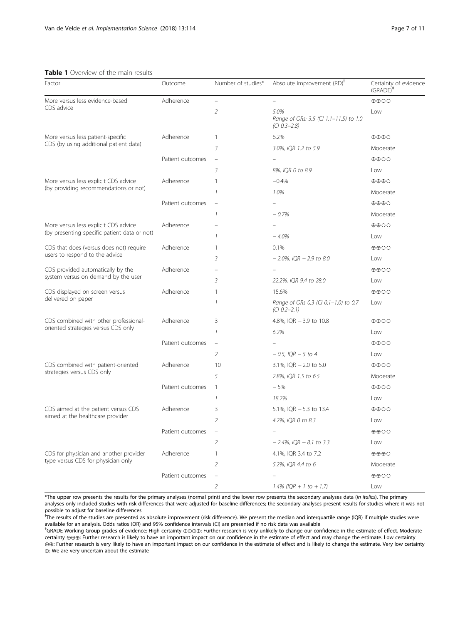# <span id="page-6-0"></span>Table 1 Overview of the main results

| Factor                                                                               | Outcome          | Number of studies*       | Absolute improvement (RD) <sup>+</sup>                             | Certainty of evidence<br>$(GRADE)^+$ |
|--------------------------------------------------------------------------------------|------------------|--------------------------|--------------------------------------------------------------------|--------------------------------------|
| More versus less evidence-based                                                      | Adherence        |                          | $\equiv$                                                           | $\oplus$ $\oplus$ OO                 |
| CDS advice                                                                           |                  | $\overline{2}$           | 5.0%<br>Range of ORs: 3.5 (CI 1.1-11.5) to 1.0<br>$(CI 0.3 - 2.8)$ | Low                                  |
| More versus less patient-specific<br>CDS (by using additional patient data)          | Adherence        | 1                        | 6.2%                                                               | $\oplus \oplus \oplus \odot$         |
|                                                                                      |                  | 3                        | 3.0%, IQR 1.2 to 5.9                                               | Moderate                             |
|                                                                                      | Patient outcomes | $\overline{\phantom{m}}$ |                                                                    | $\oplus$ $\oplus$ OO                 |
|                                                                                      |                  | 3                        | 8%, IQR 0 to 8.9                                                   | Low                                  |
| More versus less explicit CDS advice<br>(by providing recommendations or not)        | Adherence        | 1                        | $-0.4%$                                                            | $\oplus \oplus \oplus \odot$         |
|                                                                                      |                  | $\mathcal{I}$            | 1.0%                                                               | Moderate                             |
|                                                                                      | Patient outcomes |                          |                                                                    | $\oplus \oplus \oplus \odot$         |
|                                                                                      |                  | $\mathcal{I}$            | $-0.7%$                                                            | Moderate                             |
| More versus less explicit CDS advice<br>(by presenting specific patient data or not) | Adherence        |                          |                                                                    | $\oplus$ $\oplus$ OO                 |
|                                                                                      |                  | $\mathcal{I}$            | $-4.0%$                                                            | Low                                  |
| CDS that does (versus does not) require                                              | Adherence        | 1                        | 0.1%                                                               | $\oplus$ $\oplus$ OO                 |
| users to respond to the advice                                                       |                  | 3                        | $-2.0\%$ , IQR $-2.9$ to 8.0                                       | Low                                  |
| CDS provided automatically by the<br>system versus on demand by the user             | Adherence        |                          |                                                                    | $\oplus$ $\oplus$ OO                 |
|                                                                                      |                  | 3                        | 22.2%, IQR 9.4 to 28.0                                             | Low                                  |
| CDS displayed on screen versus                                                       | Adherence        | 1                        | 15.6%                                                              | $\oplus$ $\oplus$ OO                 |
| delivered on paper                                                                   |                  | $\mathcal{I}$            | Range of ORs 0.3 (CI 0.1-1.0) to 0.7<br>$(C1 0.2 - 2.1)$           | Low                                  |
| CDS combined with other professional-<br>oriented strategies versus CDS only         | Adherence        | 3                        | 4.8%, IQR - 3.9 to 10.8                                            | $\oplus$ $\oplus$ OO                 |
|                                                                                      |                  | $\mathcal{I}$            | 6.2%                                                               | Low                                  |
|                                                                                      | Patient outcomes | $\qquad \qquad -$        |                                                                    | $\oplus$ $\oplus$ OO                 |
|                                                                                      |                  | $\overline{2}$           | $-0.5$ , IQR $-5$ to 4                                             | Low                                  |
| CDS combined with patient-oriented                                                   | Adherence        | 10                       | 3.1%, $IQR - 2.0$ to 5.0                                           | $\oplus$ $\oplus$ OO                 |
| strategies versus CDS only                                                           |                  | 5                        | 2.8%, IQR 1.5 to 6.5                                               | Moderate                             |
|                                                                                      | Patient outcomes | $\mathbf{1}$             | $-5%$                                                              | $\oplus$ $\oplus$ OO                 |
|                                                                                      |                  | $\mathcal{I}$            | 18.2%                                                              | Low                                  |
| CDS aimed at the patient versus CDS                                                  | Adherence        | 3                        | 5.1%, IQR - 5.3 to 13.4                                            | $\oplus$ $\oplus$ OO                 |
| aimed at the healthcare provider                                                     |                  | $\overline{2}$           | 4.2%, IQR 0 to 8.3                                                 | Low                                  |
|                                                                                      | Patient outcomes | $\overline{\phantom{0}}$ |                                                                    | $\oplus$ $\oplus$ OO                 |
|                                                                                      |                  | $\overline{2}$           | $-$ 2.4%, IQR $-$ 8.1 to 3.3                                       | Low                                  |
| CDS for physician and another provider                                               | Adherence        | 1                        | 4.1%, IQR 3.4 to 7.2                                               | $\oplus \oplus \oplus \odot$         |
| type versus CDS for physician only                                                   |                  | $\overline{2}$           | 5.2%, IQR 4.4 to 6                                                 | Moderate                             |
|                                                                                      | Patient outcomes |                          |                                                                    | $\oplus$ $\oplus$ OO                 |
|                                                                                      |                  | $\mathcal{D}$            | $1.406$ (IOD + 1 to + 1.7)                                         | $\sim$                               |

<sup>2</sup> 1.4% (IQR + 1 to + 1.7) Low<br>\*The upper row presents the results for the primary analyses (normal print) and the lower row presents the secondary analyses data (*in italics*). The primary\* analyses only included studies with risk differences that were adjusted for baseline differences; the secondary analyses present results for studies where it was not possible to adjust for baseline differences

<sup>i</sup>The results of the studies are presented as absolute improvement (risk difference). We present the median and interquartile range (IQR) if multiple studies were available for an analysis. Odds ratios (OR) and 95% confidence intervals (CI) are presented if no risk data was available

ǂ GRADE Working Group grades of evidence: High certainty ⊕⊕⊕⊕: Further research is very unlikely to change our confidence in the estimate of effect. Moderate certainty ⊕⊕⊕: Further research is likely to have an important impact on our confidence in the estimate of effect and may change the estimate. Low certainty ⊕⊕: Further research is very likely to have an important impact on our confidence in the estimate of effect and is likely to change the estimate. Very low certainty ⊕: We are very uncertain about the estimate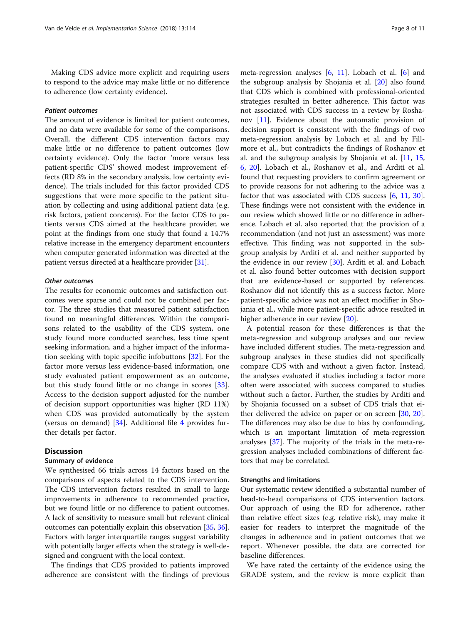Making CDS advice more explicit and requiring users to respond to the advice may make little or no difference to adherence (low certainty evidence).

## Patient outcomes

The amount of evidence is limited for patient outcomes, and no data were available for some of the comparisons. Overall, the different CDS intervention factors may make little or no difference to patient outcomes (low certainty evidence). Only the factor 'more versus less patient-specific CDS' showed modest improvement effects (RD 8% in the secondary analysis, low certainty evidence). The trials included for this factor provided CDS suggestions that were more specific to the patient situation by collecting and using additional patient data (e.g. risk factors, patient concerns). For the factor CDS to patients versus CDS aimed at the healthcare provider, we point at the findings from one study that found a 14.7% relative increase in the emergency department encounters when computer generated information was directed at the patient versus directed at a healthcare provider [[31](#page-10-0)].

## Other outcomes

The results for economic outcomes and satisfaction outcomes were sparse and could not be combined per factor. The three studies that measured patient satisfaction found no meaningful differences. Within the comparisons related to the usability of the CDS system, one study found more conducted searches, less time spent seeking information, and a higher impact of the information seeking with topic specific infobuttons [[32\]](#page-10-0). For the factor more versus less evidence-based information, one study evaluated patient empowerment as an outcome, but this study found little or no change in scores [\[33](#page-10-0)]. Access to the decision support adjusted for the number of decision support opportunities was higher (RD 11%) when CDS was provided automatically by the system (versus on demand) [\[34](#page-10-0)]. Additional file [4](#page-9-0) provides further details per factor.

# **Discussion**

#### Summary of evidence

We synthesised 66 trials across 14 factors based on the comparisons of aspects related to the CDS intervention. The CDS intervention factors resulted in small to large improvements in adherence to recommended practice, but we found little or no difference to patient outcomes. A lack of sensitivity to measure small but relevant clinical outcomes can potentially explain this observation [\[35,](#page-10-0) [36](#page-10-0)]. Factors with larger interquartile ranges suggest variability with potentially larger effects when the strategy is well-designed and congruent with the local context.

The findings that CDS provided to patients improved adherence are consistent with the findings of previous

meta-regression analyses  $[6, 11]$  $[6, 11]$  $[6, 11]$  $[6, 11]$  $[6, 11]$ . Lobach et al.  $[6]$  $[6]$  and the subgroup analysis by Shojania et al. [\[20\]](#page-9-0) also found that CDS which is combined with professional-oriented strategies resulted in better adherence. This factor was not associated with CDS success in a review by Roshanov [[11\]](#page-9-0). Evidence about the automatic provision of decision support is consistent with the findings of two meta-regression analysis by Lobach et al. and by Fillmore et al., but contradicts the findings of Roshanov et al. and the subgroup analysis by Shojania et al. [[11,](#page-9-0) [15](#page-9-0), [6,](#page-9-0) [20](#page-9-0)]. Lobach et al., Roshanov et al., and Arditi et al. found that requesting providers to confirm agreement or to provide reasons for not adhering to the advice was a factor that was associated with CDS success [[6,](#page-9-0) [11,](#page-9-0) [30](#page-10-0)]. These findings were not consistent with the evidence in our review which showed little or no difference in adherence. Lobach et al. also reported that the provision of a recommendation (and not just an assessment) was more effective. This finding was not supported in the subgroup analysis by Arditi et al. and neither supported by the evidence in our review [\[30](#page-10-0)]. Arditi et al. and Lobach et al. also found better outcomes with decision support that are evidence-based or supported by references. Roshanov did not identify this as a success factor. More patient-specific advice was not an effect modifier in Shojania et al., while more patient-specific advice resulted in higher adherence in our review [[20\]](#page-9-0).

A potential reason for these differences is that the meta-regression and subgroup analyses and our review have included different studies. The meta-regression and subgroup analyses in these studies did not specifically compare CDS with and without a given factor. Instead, the analyses evaluated if studies including a factor more often were associated with success compared to studies without such a factor. Further, the studies by Arditi and by Shojania focussed on a subset of CDS trials that either delivered the advice on paper or on screen  $[30, 20]$  $[30, 20]$  $[30, 20]$  $[30, 20]$ . The differences may also be due to bias by confounding, which is an important limitation of meta-regression analyses [[37\]](#page-10-0). The majority of the trials in the meta-regression analyses included combinations of different factors that may be correlated.

#### Strengths and limitations

Our systematic review identified a substantial number of head-to-head comparisons of CDS intervention factors. Our approach of using the RD for adherence, rather than relative effect sizes (e.g. relative risk), may make it easier for readers to interpret the magnitude of the changes in adherence and in patient outcomes that we report. Whenever possible, the data are corrected for baseline differences.

We have rated the certainty of the evidence using the GRADE system, and the review is more explicit than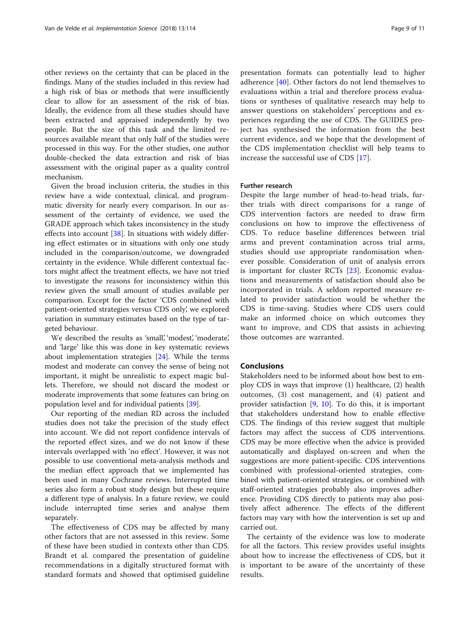other reviews on the certainty that can be placed in the findings. Many of the studies included in this review had a high risk of bias or methods that were insufficiently clear to allow for an assessment of the risk of bias. Ideally, the evidence from all these studies should have been extracted and appraised independently by two people. But the size of this task and the limited resources available meant that only half of the studies were processed in this way. For the other studies, one author double-checked the data extraction and risk of bias assessment with the original paper as a quality control mechanism.

Given the broad inclusion criteria, the studies in this review have a wide contextual, clinical, and programmatic diversity for nearly every comparison. In our assessment of the certainty of evidence, we used the GRADE approach which takes inconsistency in the study effects into account [\[38](#page-10-0)]. In situations with widely differing effect estimates or in situations with only one study included in the comparison/outcome, we downgraded certainty in the evidence. While different contextual factors might affect the treatment effects, we have not tried to investigate the reasons for inconsistency within this review given the small amount of studies available per comparison. Except for the factor 'CDS combined with patient-oriented strategies versus CDS only', we explored variation in summary estimates based on the type of targeted behaviour.

We described the results as 'small', 'modest', 'moderate', and 'large' like this was done in key systematic reviews about implementation strategies [\[24\]](#page-10-0). While the terms modest and moderate can convey the sense of being not important, it might be unrealistic to expect magic bullets. Therefore, we should not discard the modest or moderate improvements that some features can bring on population level and for individual patients [\[39](#page-10-0)].

Our reporting of the median RD across the included studies does not take the precision of the study effect into account. We did not report confidence intervals of the reported effect sizes, and we do not know if these intervals overlapped with 'no effect'. However, it was not possible to use conventional meta-analysis methods and the median effect approach that we implemented has been used in many Cochrane reviews. Interrupted time series also form a robust study design but these require a different type of analysis. In a future review, we could include interrupted time series and analyse them separately.

The effectiveness of CDS may be affected by many other factors that are not assessed in this review. Some of these have been studied in contexts other than CDS. Brandt et al. compared the presentation of guideline recommendations in a digitally structured format with standard formats and showed that optimised guideline

presentation formats can potentially lead to higher adherence [\[40](#page-10-0)]. Other factors do not lend themselves to evaluations within a trial and therefore process evaluations or syntheses of qualitative research may help to answer questions on stakeholders' perceptions and experiences regarding the use of CDS. The GUIDES project has synthesised the information from the best current evidence, and we hope that the development of the CDS implementation checklist will help teams to increase the successful use of CDS [\[17](#page-9-0)].

# Further research

Despite the large number of head-to-head trials, further trials with direct comparisons for a range of CDS intervention factors are needed to draw firm conclusions on how to improve the effectiveness of CDS. To reduce baseline differences between trial arms and prevent contamination across trial arms, studies should use appropriate randomisation whenever possible. Consideration of unit of analysis errors is important for cluster RCTs [\[23](#page-9-0)]. Economic evaluations and measurements of satisfaction should also be incorporated in trials. A seldom reported measure related to provider satisfaction would be whether the CDS is time-saving. Studies where CDS users could make an informed choice on which outcomes they want to improve, and CDS that assists in achieving those outcomes are warranted.

# Conclusions

Stakeholders need to be informed about how best to employ CDS in ways that improve  $(1)$  healthcare,  $(2)$  health outcomes, (3) cost management, and (4) patient and provider satisfaction [[9,](#page-9-0) [10\]](#page-9-0). To do this, it is important that stakeholders understand how to enable effective CDS. The findings of this review suggest that multiple factors may affect the success of CDS interventions. CDS may be more effective when the advice is provided automatically and displayed on-screen and when the suggestions are more patient-specific. CDS interventions combined with professional-oriented strategies, combined with patient-oriented strategies, or combined with staff-oriented strategies probably also improves adherence. Providing CDS directly to patients may also positively affect adherence. The effects of the different factors may vary with how the intervention is set up and carried out.

The certainty of the evidence was low to moderate for all the factors. This review provides useful insights about how to increase the effectiveness of CDS, but it is important to be aware of the uncertainty of these results.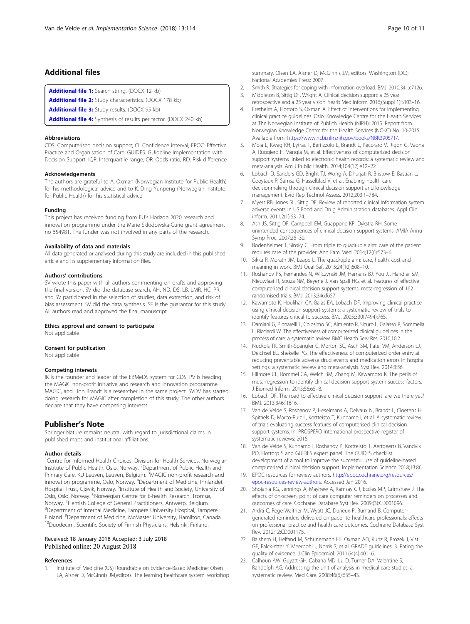# <span id="page-9-0"></span>Additional files

| <b>Additional file 1:</b> Search string. (DOCX 12 kb) |  |  |
|-------------------------------------------------------|--|--|
|-------------------------------------------------------|--|--|

[Additional file 2:](https://doi.org/10.1186/s13012-018-0790-1) Study characteristics. (DOCX 178 kb)

[Additional file 3:](https://doi.org/10.1186/s13012-018-0790-1) Study results. (DOCX 95 kb)

[Additional file 4:](https://doi.org/10.1186/s13012-018-0790-1) Synthesis of results per factor. (DOCX 240 kb)

#### Abbreviations

CDS: Computerised decision support; CI: Confidence interval; EPOC: Effective Practice and Organisation of Care; GUIDES: GUideline Implementation with Decision Support; IQR: Interquartile range; OR: Odds ratio; RD: Risk difference

#### Acknowledgements

The authors are grateful to A. Oxman (Norwegian Institute for Public Health) for his methodological advice and to K. Ding Yunpeng (Norwegian Institute for Public Health) for his statistical advice.

#### Funding

This project has received funding from EU's Horizon 2020 research and innovation programme under the Marie Sklodowska-Curie grant agreement no 654981. The funder was not involved in any parts of the research.

#### Availability of data and materials

All data generated or analysed during this study are included in this published article and its supplementary information files.

#### Authors' contributions

SV wrote this paper with all authors commenting on drafts and approving the final version. SV did the database search. AH, ND, DS, LB, LMR, HC, PR, and SV participated in the selection of studies, data extraction, and risk of bias assessment. SV did the data synthesis. SF is the guarantor for this study. All authors read and approved the final manuscript.

# Ethics approval and consent to participate

Not applicable

### Consent for publication

Not applicable

#### Competing interests

IK is the founder and leader of the EBMeDS system for CDS. PV is heading the MAGIC non-profit initiative and research and innovation programme MAGIC, and Linn Brandt is a researcher in the same project. SVDV has started doing research for MAGIC after completion of this study. The other authors declare that they have competing interests.

# Publisher's Note

Springer Nature remains neutral with regard to jurisdictional claims in published maps and institutional affiliations.

#### Author details

<sup>1</sup>Centre for Informed Health Choices, Division for Health Services, Norwegian Institute of Public Health, Oslo, Norway. <sup>2</sup>Department of Public Health and Primary Care, KU Leuven, Leuven, Belgium. <sup>3</sup>MAGIC non-profit research and innovation programme, Oslo, Norway. <sup>4</sup> Department of Medicine, Innlandet Hospital Trust, Gjøvik, Norway. <sup>5</sup>Institute of Health and Society, University of Oslo, Oslo, Norway. <sup>6</sup>Norwegian Centre for E-health Research, Tromsø, Norway. <sup>7</sup> Flemish College of General Practitioners, Antwerp, Belgium.<br><sup>8</sup> Department of Internal Modicine, Tampere University Hespital, Tamp Department of Internal Medicine, Tampere University Hospital, Tampere, Finland. <sup>9</sup>Department of Medicine, McMaster University, Hamilton, Canada. <sup>10</sup>Duodecim, Scientific Society of Finnish Physicians, Helsinki, Finland.

### Received: 18 January 2018 Accepted: 3 July 2018 Published online: 20 August 2018

#### References

1. Institute of Medicine (US) Roundtable on Evidence-Based Medicine; Olsen LA, Aisner D, McGinnis JM,editors. The learning healthcare system: workshop summary. Olsen LA, Aisner D, McGinnis JM, editors. Washington (DC); National Academies Press; 2007.

- 2. Smith R. Strategies for coping with information overload. BMJ. 2010;341:c7126.
- 3. Middleton B, Sittig DF, Wright A. Clinical decision support: a 25 year retrospective and a 25 year vision. Yearb Med Inform. 2016;(Suppl 1):S103–16.
- 4. Fretheim A, Flottorp S, Oxman A. Effect of interventions for implementing clinical practice guidelines. Oslo: Knowledge Centre for the Health Services at The Norwegian Institute of Publich Health (NIPH); 2015. Report from Norwegian Knowledge Centre for the Health Services (NOKC) No. 10-2015. Available from: <https://www.ncbi.nlm.nih.gov/books/NBK390571/>.
- 5. Moja L, Kwag KH, Lytras T, Bertizzolo L, Brandt L, Pecoraro V, Rigon G, Vaona A, Ruggiero F, Mangia M, et al. Effectiveness of computerized decision support systems linked to electronic health records: a systematic review and meta-analysis. Am J Public Health. 2014;104(12):e12–22.
- 6. Lobach D, Sanders GD, Bright TJ, Wong A, Dhurjati R, Bristow E, Bastian L, Coeytaux R, Samsa G, Hasselblad V, et al. Enabling health care decisionmaking through clinical decision support and knowledge management. Evid Rep Technol Assess. 2012;203:1–784.
- 7. Myers RB, Jones SL, Sittig DF. Review of reported clinical information system adverse events in US Food and Drug Administration databases. Appl Clin inform. 2011;2(1):63–74.
- 8. Ash JS, Sittig DF, Campbell EM, Guappone KP, Dykstra RH. Some unintended consequences of clinical decision support systems. AMIA Annu Symp Proc. 2007:26–30.
- 9. Bodenheimer T, Sinsky C. From triple to quadruple aim: care of the patient requires care of the provider. Ann Fam Med. 2014;12(6):573–6.
- 10. Sikka R, Morath JM, Leape L. The quadruple aim: care, health, cost and meaning in work. BMJ Qual Saf. 2015;24(10):608–10.
- 11. Roshanov PS, Fernandes N, Wilczynski JM, Hemens BJ, You JJ, Handler SM, Nieuwlaat R, Souza NM, Beyene J, Van Spall HG, et al. Features of effective computerised clinical decision support systems: meta-regression of 162 randomised trials. BMJ. 2013;346:f657.
- 12. Kawamoto K, Houlihan CA, Balas EA, Lobach DF. Improving clinical practice using clinical decision support systems: a systematic review of trials to identify features critical to success. BMJ. 2005;330(7494):765.
- 13. Damiani G, Pinnarelli L, Colosimo SC, Almiento R, Sicuro L, Galasso R, Sommella L, Ricciardi W. The effectiveness of computerized clinical guidelines in the process of care: a systematic review. BMC Health Serv Res. 2010;10:2.
- 14. Nuckols TK, Smith-Spangler C, Morton SC, Asch SM, Patel VM, Anderson LJ, Deichsel EL, Shekelle PG. The effectiveness of computerized order entry at reducing preventable adverse drug events and medication errors in hospital settings: a systematic review and meta-analysis. Syst Rev. 2014;3:56.
- 15. Fillmore CL, Rommel CA, Welch BM, Zhang M, Kawamoto K. The perils of meta-regression to identify clinical decision support system success factors. J Biomed Inform. 2015;56:65–8.
- 16. Lobach DF. The road to effective clinical decision support: are we there yet? BMJ. 2013;346:f1616.
- 17. Van de Velde S, Roshanov P, Heselmans A, Delvaux N, Brandt L, Cloetens H, Spitaels D, Marco-Ruiz L, Kortteisto T, Kunnamo I, et al. A systematic review of trials evaluating success features of computerised clinical decision support systems. In: PROSPERO International prospective register of systematic reviews; 2016.
- 18. Van de Velde S, Kunnamo I, Roshanov P, Kortteisto T, Aertgeerts B, Vandvik PO, Flottorp S and GUIDES expert panel. The GUIDES checklist: development of a tool to improve the successful use of guideline-based computerised clinical decision support. Implementation Science 2018;13:86.
- 19. EPOC resources for review authors. [http://epoc.cochrane.org/resources/](http://epoc.cochrane.org/resources/epoc-resources-review-authors) [epoc-resources-review-authors.](http://epoc.cochrane.org/resources/epoc-resources-review-authors) Accessed Jan 2016.
- 20. Shojania KG, Jennings A, Mayhew A, Ramsay CR, Eccles MP, Grimshaw J. The effects of on-screen, point of care computer reminders on processes and outcomes of care. Cochrane Database Syst Rev. 2009;(3):CD001096.
- 21. Arditi C, Rege-Walther M, Wyatt JC, Durieux P, Burnand B. Computergenerated reminders delivered on paper to healthcare professionals; effects on professional practice and health care outcomes. Cochrane Database Syst Rev. 2012;12:CD001175.
- 22. Balshem H, Helfand M, Schunemann HJ, Oxman AD, Kunz R, Brozek J, Vist GE, Falck-Ytter Y, Meerpohl J, Norris S, et al. GRADE guidelines: 3. Rating the quality of evidence. J Clin Epidemiol. 2011;64(4):401–6.
- 23. Calhoun AW, Guyatt GH, Cabana MD, Lu D, Turner DA, Valentine S, Randolph AG. Addressing the unit of analysis in medical care studies: a systematic review. Med Care. 2008;46(6):635–43.